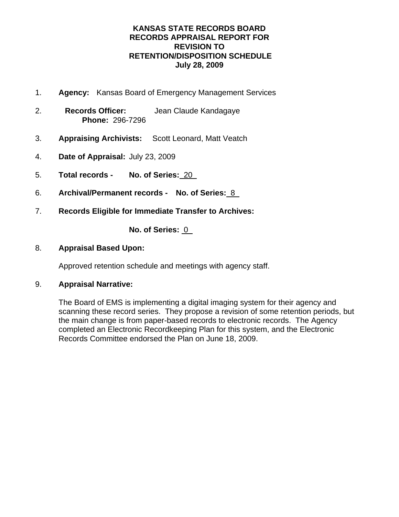- 1. **Agency:** Kansas Board of Emergency Management Services
- 2. **Records Officer:** Jean Claude Kandagaye **Phone:** 296-7296
- 3. **Appraising Archivists:** Scott Leonard, Matt Veatch
- 4. **Date of Appraisal:** July 23, 2009
- 5. **Total records No. of Series:** 20
- 6. **Archival/Permanent records No. of Series:** 8
- 7. **Records Eligible for Immediate Transfer to Archives:**

**No. of Series:** 0

## 8. **Appraisal Based Upon:**

Approved retention schedule and meetings with agency staff.

## 9. **Appraisal Narrative:**

The Board of EMS is implementing a digital imaging system for their agency and scanning these record series. They propose a revision of some retention periods, but the main change is from paper-based records to electronic records. The Agency completed an Electronic Recordkeeping Plan for this system, and the Electronic Records Committee endorsed the Plan on June 18, 2009.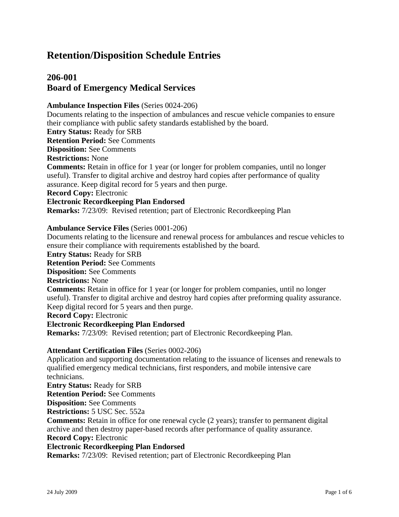## **206-001 Board of Emergency Medical Services**

#### **Ambulance Inspection Files** (Series 0024-206)

Documents relating to the inspection of ambulances and rescue vehicle companies to ensure their compliance with public safety standards established by the board.

#### **Entry Status:** Ready for SRB

**Retention Period:** See Comments

**Disposition:** See Comments

#### **Restrictions:** None

**Comments:** Retain in office for 1 year (or longer for problem companies, until no longer useful). Transfer to digital archive and destroy hard copies after performance of quality assurance. Keep digital record for 5 years and then purge.

**Record Copy:** Electronic

#### **Electronic Recordkeeping Plan Endorsed**

**Remarks:** 7/23/09: Revised retention; part of Electronic Recordkeeping Plan

#### **Ambulance Service Files** (Series 0001-206)

Documents relating to the licensure and renewal process for ambulances and rescue vehicles to ensure their compliance with requirements established by the board.

**Entry Status:** Ready for SRB

**Retention Period:** See Comments

## **Disposition:** See Comments

**Restrictions:** None

**Comments:** Retain in office for 1 year (or longer for problem companies, until no longer useful). Transfer to digital archive and destroy hard copies after preforming quality assurance. Keep digital record for 5 years and then purge.

**Record Copy:** Electronic

#### **Electronic Recordkeeping Plan Endorsed**

**Remarks:** 7/23/09: Revised retention; part of Electronic Recordkeeping Plan.

### **Attendant Certification Files** (Series 0002-206)

Application and supporting documentation relating to the issuance of licenses and renewals to qualified emergency medical technicians, first responders, and mobile intensive care technicians.

**Entry Status:** Ready for SRB

**Retention Period:** See Comments

**Disposition:** See Comments

**Restrictions:** 5 USC Sec. 552a

**Comments:** Retain in office for one renewal cycle (2 years); transfer to permanent digital archive and then destroy paper-based records after performance of quality assurance. **Record Copy:** Electronic

#### **Electronic Recordkeeping Plan Endorsed**

**Remarks:** 7/23/09: Revised retention; part of Electronic Recordkeeping Plan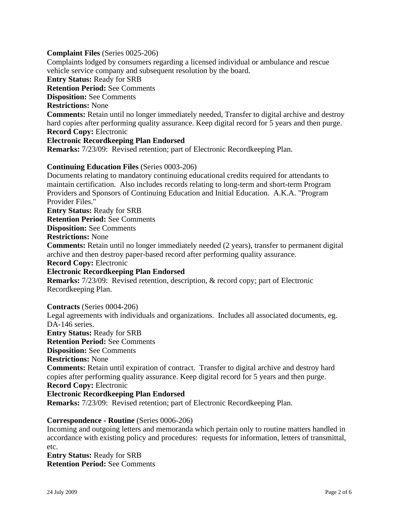#### **Complaint Files** (Series 0025-206)

Complaints lodged by consumers regarding a licensed individual or ambulance and rescue vehicle service company and subsequent resolution by the board. **Entry Status:** Ready for SRB **Retention Period:** See Comments **Disposition:** See Comments **Restrictions:** None **Comments:** Retain until no longer immediately needed, Transfer to digital archive and destroy hard copies after performing quality assurance. Keep digital record for 5 years and then purge. **Record Copy:** Electronic **Electronic Recordkeeping Plan Endorsed Remarks:** 7/23/09: Revised retention; part of Electronic Recordkeeping Plan.

### **Continuing Education Files** (Series 0003-206)

Documents relating to mandatory continuing educational credits required for attendants to maintain certification. Also includes records relating to long-term and short-term Program Providers and Sponsors of Continuing Education and Initial Education. A.K.A. "Program Provider Files."

**Entry Status:** Ready for SRB

**Retention Period:** See Comments

**Disposition:** See Comments

**Restrictions:** None

**Comments:** Retain until no longer immediately needed (2 years), transfer to permanent digital archive and then destroy paper-based record after performing quality assurance.

**Record Copy:** Electronic

#### **Electronic Recordkeeping Plan Endorsed**

**Remarks:** 7/23/09: Revised retention, description, & record copy; part of Electronic Recordkeeping Plan.

**Contracts** (Series 0004-206)

Legal agreements with individuals and organizations. Includes all associated documents, eg. DA-146 series. **Entry Status:** Ready for SRB

**Retention Period:** See Comments

**Disposition:** See Comments

**Restrictions:** None

**Comments:** Retain until expiration of contract. Transfer to digital archive and destroy hard copies after performing quality assurance. Keep digital record for 5 years and then purge. **Record Copy:** Electronic

#### **Electronic Recordkeeping Plan Endorsed**

**Remarks:** 7/23/09: Revised retention; part of Electronic Recordkeeping Plan.

#### **Correspondence - Routine** (Series 0006-206)

Incoming and outgoing letters and memoranda which pertain only to routine matters handled in accordance with existing policy and procedures: requests for information, letters of transmittal, etc.

**Entry Status:** Ready for SRB **Retention Period:** See Comments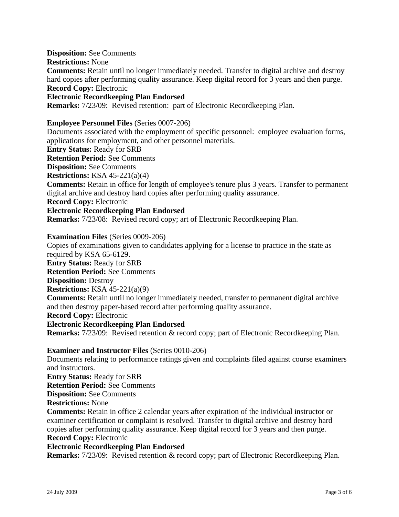**Disposition:** See Comments

**Restrictions:** None

**Comments:** Retain until no longer immediately needed. Transfer to digital archive and destroy hard copies after performing quality assurance. Keep digital record for 3 years and then purge. **Record Copy:** Electronic

## **Electronic Recordkeeping Plan Endorsed**

**Remarks:** 7/23/09: Revised retention: part of Electronic Recordkeeping Plan.

#### **Employee Personnel Files** (Series 0007-206)

Documents associated with the employment of specific personnel: employee evaluation forms, applications for employment, and other personnel materials.

**Entry Status:** Ready for SRB

**Retention Period:** See Comments

**Disposition:** See Comments

**Restrictions:** KSA 45-221(a)(4)

**Comments:** Retain in office for length of employee's tenure plus 3 years. Transfer to permanent digital archive and destroy hard copies after performing quality assurance.

**Record Copy:** Electronic

#### **Electronic Recordkeeping Plan Endorsed**

**Remarks:** 7/23/08: Revised record copy; art of Electronic Recordkeeping Plan.

#### **Examination Files** (Series 0009-206)

Copies of examinations given to candidates applying for a license to practice in the state as required by KSA 65-6129. **Entry Status:** Ready for SRB **Retention Period:** See Comments **Disposition:** Destroy **Restrictions:** KSA 45-221(a)(9) **Comments:** Retain until no longer immediately needed, transfer to permanent digital archive and then destroy paper-based record after performing quality assurance. **Record Copy:** Electronic **Electronic Recordkeeping Plan Endorsed Remarks:** 7/23/09: Revised retention & record copy; part of Electronic Recordkeeping Plan.

### **Examiner and Instructor Files** (Series 0010-206)

Documents relating to performance ratings given and complaints filed against course examiners and instructors.

**Entry Status:** Ready for SRB **Retention Period:** See Comments **Disposition:** See Comments

**Restrictions:** None

**Comments:** Retain in office 2 calendar years after expiration of the individual instructor or examiner certification or complaint is resolved. Transfer to digital archive and destroy hard copies after performing quality assurance. Keep digital record for 3 years and then purge. **Record Copy:** Electronic

#### **Electronic Recordkeeping Plan Endorsed**

**Remarks:** 7/23/09: Revised retention & record copy; part of Electronic Recordkeeping Plan.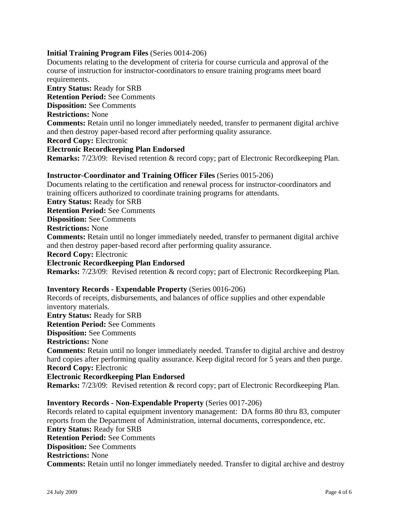#### **Initial Training Program Files** (Series 0014-206)

Documents relating to the development of criteria for course curricula and approval of the course of instruction for instructor-coordinators to ensure training programs meet board requirements. **Entry Status:** Ready for SRB **Retention Period:** See Comments **Disposition:** See Comments **Restrictions:** None **Comments:** Retain until no longer immediately needed, transfer to permanent digital archive and then destroy paper-based record after performing quality assurance. **Record Copy:** Electronic **Electronic Recordkeeping Plan Endorsed Remarks:** 7/23/09: Revised retention & record copy; part of Electronic Recordkeeping Plan.

#### **Instructor-Coordinator and Training Officer Files** (Series 0015-206)

Documents relating to the certification and renewal process for instructor-coordinators and training officers authorized to coordinate training programs for attendants. **Entry Status:** Ready for SRB **Retention Period:** See Comments **Disposition:** See Comments **Restrictions:** None **Comments:** Retain until no longer immediately needed, transfer to permanent digital archive and then destroy paper-based record after performing quality assurance. **Record Copy:** Electronic **Electronic Recordkeeping Plan Endorsed Remarks:** 7/23/09: Revised retention & record copy; part of Electronic Recordkeeping Plan.

#### **Inventory Records - Expendable Property** (Series 0016-206)

Records of receipts, disbursements, and balances of office supplies and other expendable inventory materials.

**Entry Status:** Ready for SRB

**Retention Period:** See Comments

**Disposition:** See Comments

**Restrictions:** None

**Comments:** Retain until no longer immediately needed. Transfer to digital archive and destroy hard copies after performing quality assurance. Keep digital record for 5 years and then purge. **Record Copy:** Electronic

#### **Electronic Recordkeeping Plan Endorsed**

**Remarks:** 7/23/09: Revised retention & record copy; part of Electronic Recordkeeping Plan.

#### **Inventory Records - Non-Expendable Property** (Series 0017-206)

Records related to capital equipment inventory management: DA forms 80 thru 83, computer reports from the Department of Administration, internal documents, correspondence, etc. **Entry Status:** Ready for SRB **Retention Period:** See Comments **Disposition:** See Comments **Restrictions:** None **Comments:** Retain until no longer immediately needed. Transfer to digital archive and destroy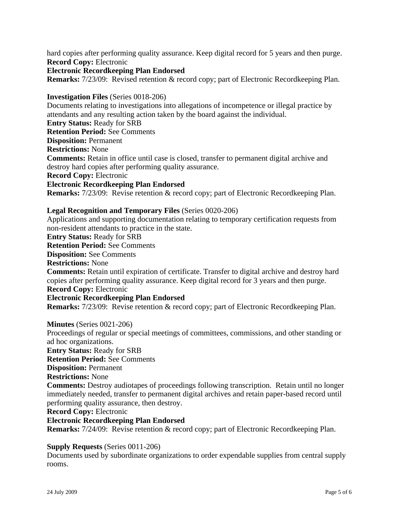hard copies after performing quality assurance. Keep digital record for 5 years and then purge. **Record Copy:** Electronic

#### **Electronic Recordkeeping Plan Endorsed**

**Remarks:** 7/23/09: Revised retention & record copy; part of Electronic Recordkeeping Plan.

#### **Investigation Files** (Series 0018-206)

Documents relating to investigations into allegations of incompetence or illegal practice by attendants and any resulting action taken by the board against the individual. **Entry Status:** Ready for SRB **Retention Period:** See Comments **Disposition:** Permanent **Restrictions:** None **Comments:** Retain in office until case is closed, transfer to permanent digital archive and destroy hard copies after performing quality assurance. **Record Copy:** Electronic **Electronic Recordkeeping Plan Endorsed Remarks:** 7/23/09: Revise retention & record copy; part of Electronic Recordkeeping Plan. **Legal Recognition and Temporary Files** (Series 0020-206) Applications and supporting documentation relating to temporary certification requests from non-resident attendants to practice in the state. **Entry Status:** Ready for SRB **Retention Period:** See Comments **Disposition:** See Comments **Restrictions:** None **Comments:** Retain until expiration of certificate. Transfer to digital archive and destroy hard copies after performing quality assurance. Keep digital record for 3 years and then purge. **Record Copy:** Electronic

#### **Electronic Recordkeeping Plan Endorsed**

**Remarks:** 7/23/09: Revise retention & record copy; part of Electronic Recordkeeping Plan.

#### **Minutes** (Series 0021-206)

Proceedings of regular or special meetings of committees, commissions, and other standing or ad hoc organizations. **Entry Status:** Ready for SRB **Retention Period:** See Comments **Disposition:** Permanent **Restrictions:** None **Comments:** Destroy audiotapes of proceedings following transcription. Retain until no longer immediately needed, transfer to permanent digital archives and retain paper-based record until performing quality assurance, then destroy. **Record Copy:** Electronic **Electronic Recordkeeping Plan Endorsed Remarks:** 7/24/09: Revise retention & record copy; part of Electronic Recordkeeping Plan.

#### **Supply Requests** (Series 0011-206)

Documents used by subordinate organizations to order expendable supplies from central supply rooms.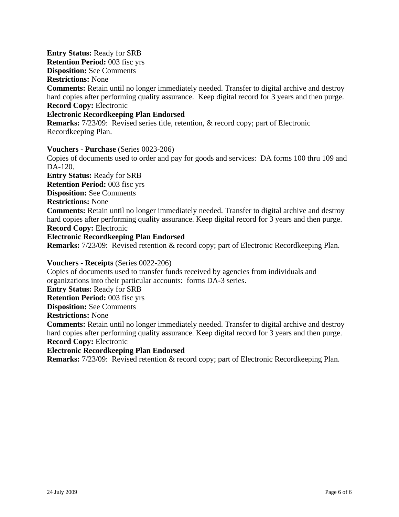**Entry Status:** Ready for SRB **Retention Period:** 003 fisc yrs **Disposition:** See Comments **Restrictions:** None **Comments:** Retain until no longer immediately needed. Transfer to digital archive and destroy hard copies after performing quality assurance. Keep digital record for 3 years and then purge. **Record Copy:** Electronic

## **Electronic Recordkeeping Plan Endorsed**

**Remarks:** 7/23/09: Revised series title, retention, & record copy; part of Electronic Recordkeeping Plan.

#### **Vouchers - Purchase** (Series 0023-206)

Copies of documents used to order and pay for goods and services: DA forms 100 thru 109 and DA-120. **Entry Status:** Ready for SRB **Retention Period:** 003 fisc yrs **Disposition:** See Comments **Restrictions:** None **Comments:** Retain until no longer immediately needed. Transfer to digital archive and destroy hard copies after performing quality assurance. Keep digital record for 3 years and then purge. **Record Copy:** Electronic **Electronic Recordkeeping Plan Endorsed Remarks:** 7/23/09: Revised retention & record copy; part of Electronic Recordkeeping Plan.

### **Vouchers - Receipts** (Series 0022-206)

Copies of documents used to transfer funds received by agencies from individuals and organizations into their particular accounts: forms DA-3 series. **Entry Status:** Ready for SRB **Retention Period:** 003 fisc yrs **Disposition:** See Comments **Restrictions:** None **Comments:** Retain until no longer immediately needed. Transfer to digital archive and destroy hard copies after performing quality assurance. Keep digital record for 3 years and then purge. **Record Copy:** Electronic **Electronic Recordkeeping Plan Endorsed**

**Remarks:** 7/23/09: Revised retention & record copy; part of Electronic Recordkeeping Plan.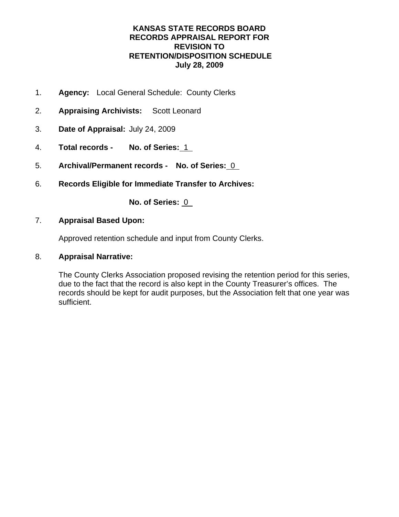- 1. **Agency:** Local General Schedule: County Clerks
- 2. **Appraising Archivists:** Scott Leonard
- 3. **Date of Appraisal:** July 24, 2009
- 4. **Total records No. of Series:** 1
- 5. **Archival/Permanent records No. of Series:** 0
- 6. **Records Eligible for Immediate Transfer to Archives:**

**No. of Series:** 0

## 7. **Appraisal Based Upon:**

Approved retention schedule and input from County Clerks.

### 8. **Appraisal Narrative:**

The County Clerks Association proposed revising the retention period for this series, due to the fact that the record is also kept in the County Treasurer's offices. The records should be kept for audit purposes, but the Association felt that one year was sufficient.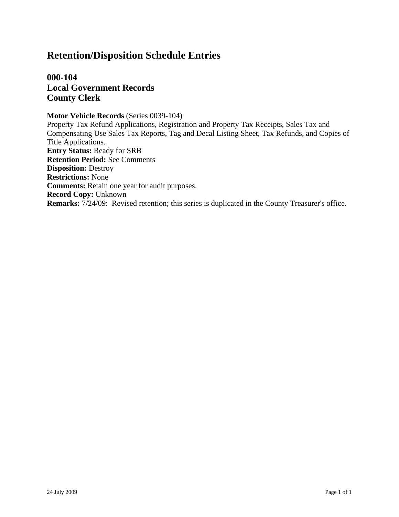**000-104 Local Government Records County Clerk**

**Motor Vehicle Records** (Series 0039-104) Property Tax Refund Applications, Registration and Property Tax Receipts, Sales Tax and Compensating Use Sales Tax Reports, Tag and Decal Listing Sheet, Tax Refunds, and Copies of Title Applications. **Entry Status:** Ready for SRB **Retention Period:** See Comments **Disposition:** Destroy **Restrictions:** None **Comments:** Retain one year for audit purposes. **Record Copy:** Unknown **Remarks:** 7/24/09: Revised retention; this series is duplicated in the County Treasurer's office.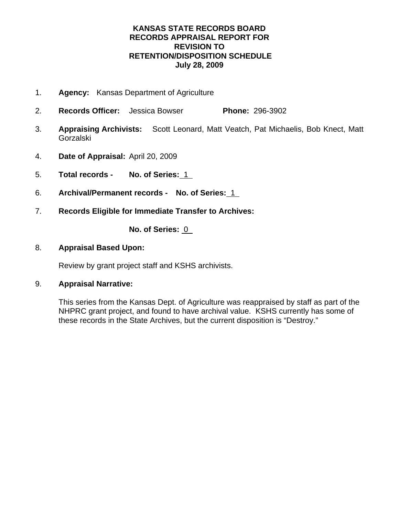- 1. **Agency:** Kansas Department of Agriculture
- 2. **Records Officer:** Jessica Bowser **Phone:** 296-3902
- 3. **Appraising Archivists:** Scott Leonard, Matt Veatch, Pat Michaelis, Bob Knect, Matt Gorzalski
- 4. **Date of Appraisal:** April 20, 2009
- 5. **Total records No. of Series:** 1
- 6. **Archival/Permanent records No. of Series:** 1
- 7. **Records Eligible for Immediate Transfer to Archives:**

**No. of Series:** 0

8. **Appraisal Based Upon:**

Review by grant project staff and KSHS archivists.

## 9. **Appraisal Narrative:**

This series from the Kansas Dept. of Agriculture was reappraised by staff as part of the NHPRC grant project, and found to have archival value. KSHS currently has some of these records in the State Archives, but the current disposition is "Destroy."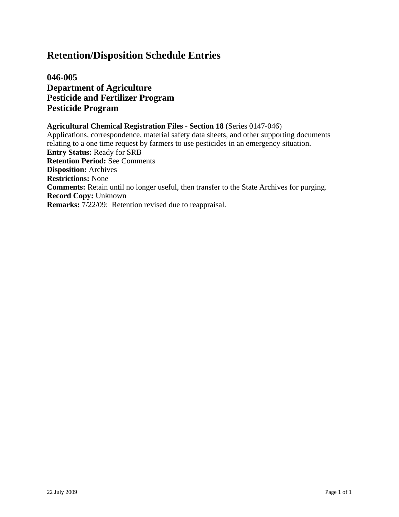**046-005 Department of Agriculture Pesticide and Fertilizer Program Pesticide Program**

#### **Agricultural Chemical Registration Files - Section 18** (Series 0147-046) Applications, correspondence, material safety data sheets, and other supporting documents relating to a one time request by farmers to use pesticides in an emergency situation. **Entry Status:** Ready for SRB **Retention Period:** See Comments **Disposition:** Archives **Restrictions:** None **Comments:** Retain until no longer useful, then transfer to the State Archives for purging. **Record Copy:** Unknown **Remarks:** 7/22/09: Retention revised due to reappraisal.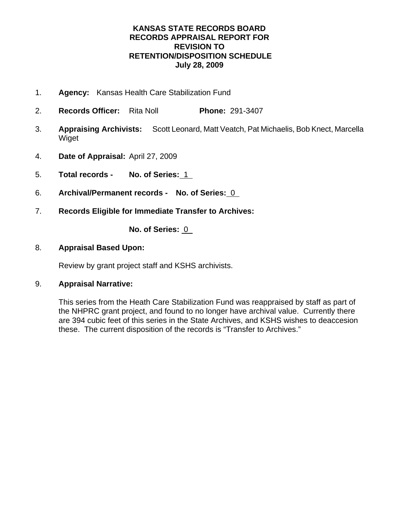- 1. **Agency:** Kansas Health Care Stabilization Fund
- 2. **Records Officer:** Rita Noll **Phone:** 291-3407
- 3. **Appraising Archivists:** Scott Leonard, Matt Veatch, Pat Michaelis, Bob Knect, Marcella Wiget
- 4. **Date of Appraisal:** April 27, 2009
- 5. **Total records No. of Series:** 1
- 6. **Archival/Permanent records No. of Series:** 0
- 7. **Records Eligible for Immediate Transfer to Archives:**

**No. of Series:** 0

## 8. **Appraisal Based Upon:**

Review by grant project staff and KSHS archivists.

## 9. **Appraisal Narrative:**

This series from the Heath Care Stabilization Fund was reappraised by staff as part of the NHPRC grant project, and found to no longer have archival value. Currently there are 394 cubic feet of this series in the State Archives, and KSHS wishes to deaccesion these. The current disposition of the records is "Transfer to Archives."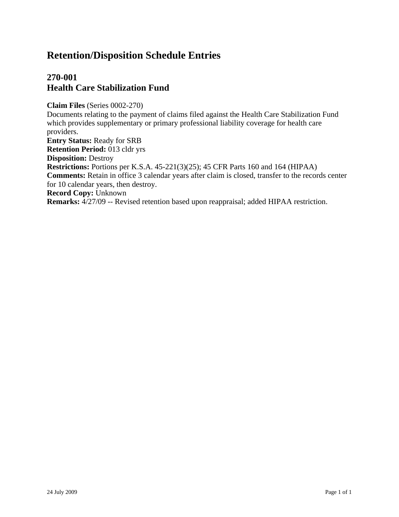## **270-001 Health Care Stabilization Fund**

**Claim Files** (Series 0002-270) Documents relating to the payment of claims filed against the Health Care Stabilization Fund which provides supplementary or primary professional liability coverage for health care providers. **Entry Status:** Ready for SRB **Retention Period:** 013 cldr yrs **Disposition:** Destroy **Restrictions:** Portions per K.S.A. 45-221(3)(25); 45 CFR Parts 160 and 164 (HIPAA) **Comments:** Retain in office 3 calendar years after claim is closed, transfer to the records center for 10 calendar years, then destroy. **Record Copy:** Unknown

**Remarks:** 4/27/09 -- Revised retention based upon reappraisal; added HIPAA restriction.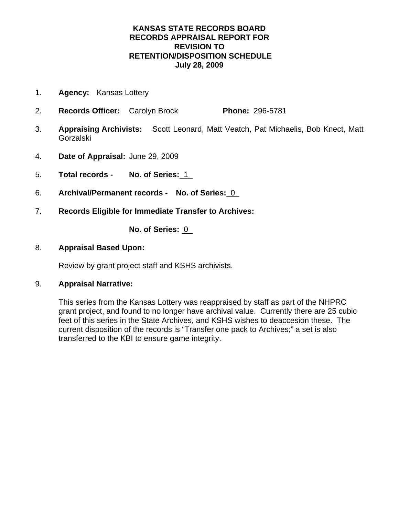- 1. **Agency:** Kansas Lottery
- 2. **Records Officer:** Carolyn Brock **Phone:** 296-5781
- 3. **Appraising Archivists:** Scott Leonard, Matt Veatch, Pat Michaelis, Bob Knect, Matt Gorzalski
- 4. **Date of Appraisal:** June 29, 2009
- 5. **Total records No. of Series:** 1
- 6. **Archival/Permanent records No. of Series:** 0
- 7. **Records Eligible for Immediate Transfer to Archives:**

**No. of Series:** 0

## 8. **Appraisal Based Upon:**

Review by grant project staff and KSHS archivists.

## 9. **Appraisal Narrative:**

This series from the Kansas Lottery was reappraised by staff as part of the NHPRC grant project, and found to no longer have archival value. Currently there are 25 cubic feet of this series in the State Archives, and KSHS wishes to deaccesion these. The current disposition of the records is "Transfer one pack to Archives;" a set is also transferred to the KBI to ensure game integrity.